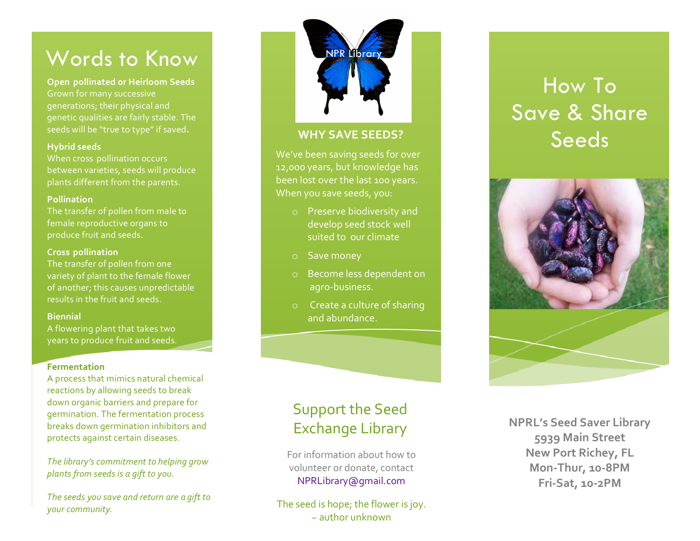# Words to Know

Grown for many successive **- Open pollinated or Heirloom Seeds** generations; their physical and genetic qualities are fairly stable. The seeds will be "true to type" if saved.

### **Hybrid seeds**

When cross pollination occurs between varieties, seeds will produce plants different from the parents.

### **Pollination**

The transfer of pollen from male to female reproductive organs to produce fruit and seeds.

## **- Cross pollination**

variety of plant to the female flower results in the fruit and seeds. The transfer of pollen from one of another; this causes unpredictable

### **Biennial**

A flowering plant that takes two years to produce fruit and seeds.

# **Fermentation**

breaks down germination inhibitors and A process that mimics natural chemical reactions by allowing seeds to break down organic barriers and prepare for germination. The fermentation process protects against certain diseases.

 *plants from seeds is a gift to you.* The library's commitment to helping grow

*The seeds you save and return are a gift to your community.*

# **NPR Librar**

# **WHY SAVE SEEDS?**

We've been saving seeds for over 12,000 years, but knowledge has been lost over the last 100 years. When you save seeds, you:

- suited to our climate o Preserve biodiversity and develop seed stock well
- o Save money
- o Become less dependent on agro -business.
- $\circ$  Create a culture of sharing and abundance.

# How To Save & Share Seeds



# Support the Seed **Exchange Library**

For information about how to volunteer or donate, contact NPRLibrary@gmail.com

The seed is hope; the flower is joy.  $\approx$  author unknown

**NPRL's Seed Saver Library 5939 Main Street New Port Richey, FL Mon -Thur, 10 -8PM Fri -Sat, 10 -2PM**